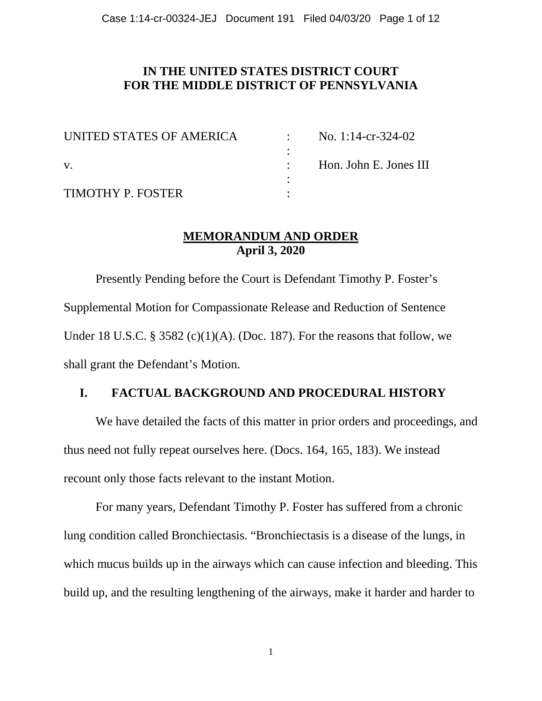# **IN THE UNITED STATES DISTRICT COURT FOR THE MIDDLE DISTRICT OF PENNSYLVANIA**

| UNITED STATES OF AMERICA |  | No. 1:14-cr-324-02     |
|--------------------------|--|------------------------|
|                          |  |                        |
| V.                       |  | Hon. John E. Jones III |
|                          |  |                        |
| TIMOTHY P. FOSTER        |  |                        |

## **MEMORANDUM AND ORDER April 3, 2020**

Presently Pending before the Court is Defendant Timothy P. Foster's Supplemental Motion for Compassionate Release and Reduction of Sentence Under 18 U.S.C. § 3582 (c)(1)(A). (Doc. 187). For the reasons that follow, we shall grant the Defendant's Motion.

## **I. FACTUAL BACKGROUND AND PROCEDURAL HISTORY**

We have detailed the facts of this matter in prior orders and proceedings, and thus need not fully repeat ourselves here. (Docs. 164, 165, 183). We instead recount only those facts relevant to the instant Motion.

For many years, Defendant Timothy P. Foster has suffered from a chronic lung condition called Bronchiectasis. "Bronchiectasis is a disease of the lungs, in which mucus builds up in the airways which can cause infection and bleeding. This build up, and the resulting lengthening of the airways, make it harder and harder to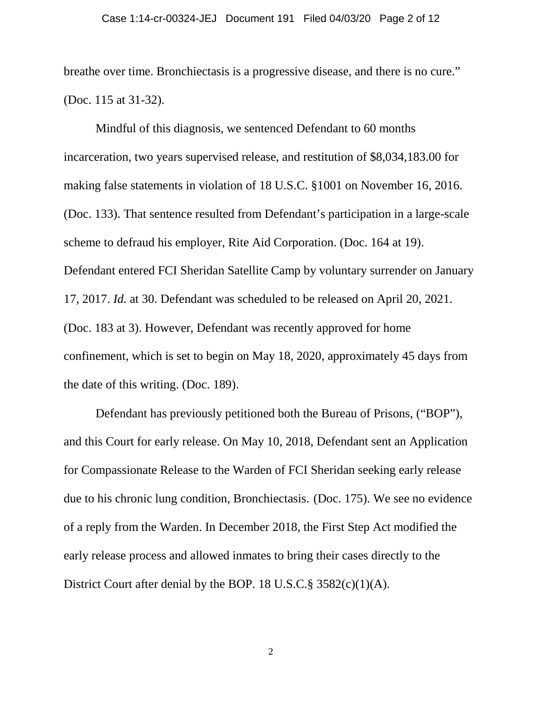breathe over time. Bronchiectasis is a progressive disease, and there is no cure." (Doc. 115 at 31-32).

Mindful of this diagnosis, we sentenced Defendant to 60 months incarceration, two years supervised release, and restitution of \$8,034,183.00 for making false statements in violation of 18 U.S.C. §1001 on November 16, 2016. (Doc. 133). That sentence resulted from Defendant's participation in a large-scale scheme to defraud his employer, Rite Aid Corporation. (Doc. 164 at 19). Defendant entered FCI Sheridan Satellite Camp by voluntary surrender on January 17, 2017. *Id.* at 30. Defendant was scheduled to be released on April 20, 2021. (Doc. 183 at 3). However, Defendant was recently approved for home confinement, which is set to begin on May 18, 2020, approximately 45 days from the date of this writing. (Doc. 189).

Defendant has previously petitioned both the Bureau of Prisons, ("BOP"), and this Court for early release. On May 10, 2018, Defendant sent an Application for Compassionate Release to the Warden of FCI Sheridan seeking early release due to his chronic lung condition, Bronchiectasis. (Doc. 175). We see no evidence of a reply from the Warden. In December 2018, the First Step Act modified the early release process and allowed inmates to bring their cases directly to the District Court after denial by the BOP. 18 U.S.C.§ 3582(c)(1)(A).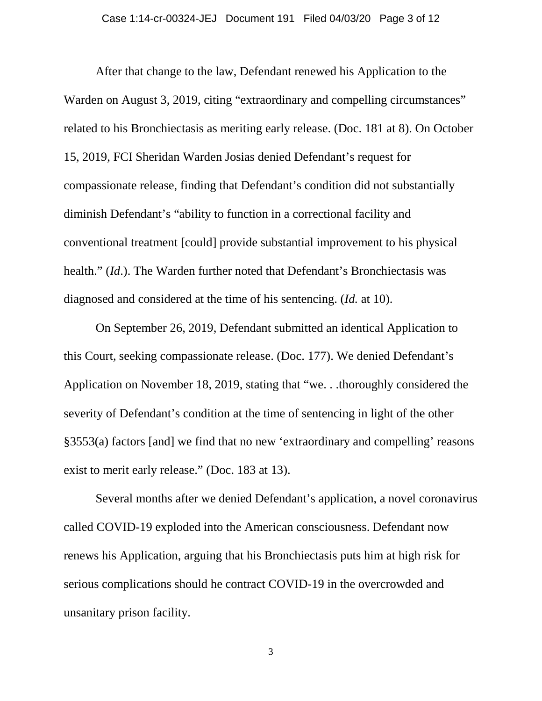After that change to the law, Defendant renewed his Application to the Warden on August 3, 2019, citing "extraordinary and compelling circumstances" related to his Bronchiectasis as meriting early release. (Doc. 181 at 8). On October 15, 2019, FCI Sheridan Warden Josias denied Defendant's request for compassionate release, finding that Defendant's condition did not substantially diminish Defendant's "ability to function in a correctional facility and conventional treatment [could] provide substantial improvement to his physical health." (*Id*.). The Warden further noted that Defendant's Bronchiectasis was diagnosed and considered at the time of his sentencing. (*Id.* at 10).

On September 26, 2019, Defendant submitted an identical Application to this Court, seeking compassionate release. (Doc. 177). We denied Defendant's Application on November 18, 2019, stating that "we. . .thoroughly considered the severity of Defendant's condition at the time of sentencing in light of the other §3553(a) factors [and] we find that no new 'extraordinary and compelling' reasons exist to merit early release." (Doc. 183 at 13).

Several months after we denied Defendant's application, a novel coronavirus called COVID-19 exploded into the American consciousness. Defendant now renews his Application, arguing that his Bronchiectasis puts him at high risk for serious complications should he contract COVID-19 in the overcrowded and unsanitary prison facility.

3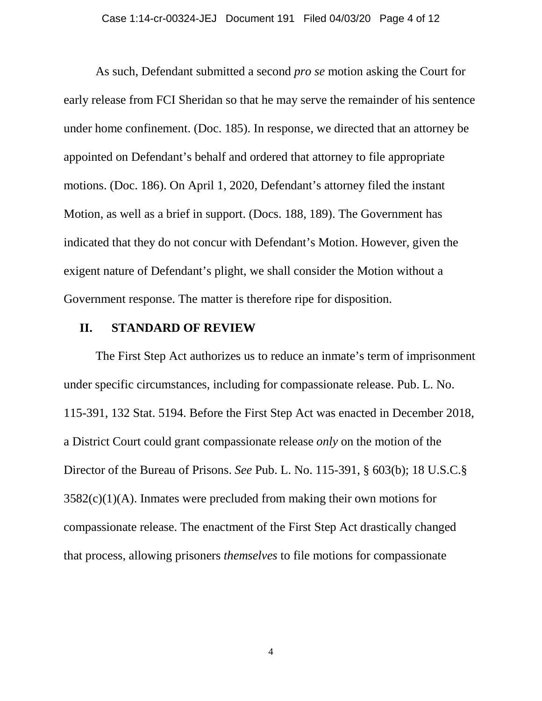As such, Defendant submitted a second *pro se* motion asking the Court for early release from FCI Sheridan so that he may serve the remainder of his sentence under home confinement. (Doc. 185). In response, we directed that an attorney be appointed on Defendant's behalf and ordered that attorney to file appropriate motions. (Doc. 186). On April 1, 2020, Defendant's attorney filed the instant Motion, as well as a brief in support. (Docs. 188, 189). The Government has indicated that they do not concur with Defendant's Motion. However, given the exigent nature of Defendant's plight, we shall consider the Motion without a Government response. The matter is therefore ripe for disposition.

### **II. STANDARD OF REVIEW**

The First Step Act authorizes us to reduce an inmate's term of imprisonment under specific circumstances, including for compassionate release. Pub. L. No. 115-391, 132 Stat. 5194. Before the First Step Act was enacted in December 2018, a District Court could grant compassionate release *only* on the motion of the Director of the Bureau of Prisons. *See* Pub. L. No. 115-391, § 603(b); 18 U.S.C.§  $3582(c)(1)(A)$ . Inmates were precluded from making their own motions for compassionate release. The enactment of the First Step Act drastically changed that process, allowing prisoners *themselves* to file motions for compassionate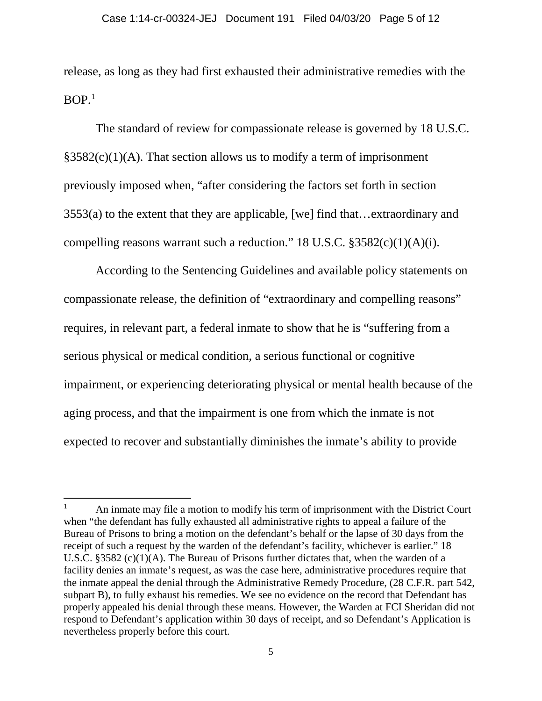release, as long as they had first exhausted their administrative remedies with the  $BOP<sup>1</sup>$  $BOP<sup>1</sup>$  $BOP<sup>1</sup>$ 

The standard of review for compassionate release is governed by 18 U.S.C.  $§3582(c)(1)(A)$ . That section allows us to modify a term of imprisonment previously imposed when, "after considering the factors set forth in section 3553(a) to the extent that they are applicable, [we] find that…extraordinary and compelling reasons warrant such a reduction." 18 U.S.C. §3582(c)(1)(A)(i).

According to the Sentencing Guidelines and available policy statements on compassionate release, the definition of "extraordinary and compelling reasons" requires, in relevant part, a federal inmate to show that he is "suffering from a serious physical or medical condition, a serious functional or cognitive impairment, or experiencing deteriorating physical or mental health because of the aging process, and that the impairment is one from which the inmate is not expected to recover and substantially diminishes the inmate's ability to provide

l

<span id="page-4-0"></span><sup>&</sup>lt;sup>1</sup> An inmate may file a motion to modify his term of imprisonment with the District Court when "the defendant has fully exhausted all administrative rights to appeal a failure of the Bureau of Prisons to bring a motion on the defendant's behalf or the lapse of 30 days from the receipt of such a request by the warden of the defendant's facility, whichever is earlier." 18 U.S.C. §3582 (c)(1)(A). The Bureau of Prisons further dictates that, when the warden of a facility denies an inmate's request, as was the case here, administrative procedures require that the inmate appeal the denial through the Administrative Remedy Procedure, (28 C.F.R. part 542, subpart B), to fully exhaust his remedies. We see no evidence on the record that Defendant has properly appealed his denial through these means. However, the Warden at FCI Sheridan did not respond to Defendant's application within 30 days of receipt, and so Defendant's Application is nevertheless properly before this court.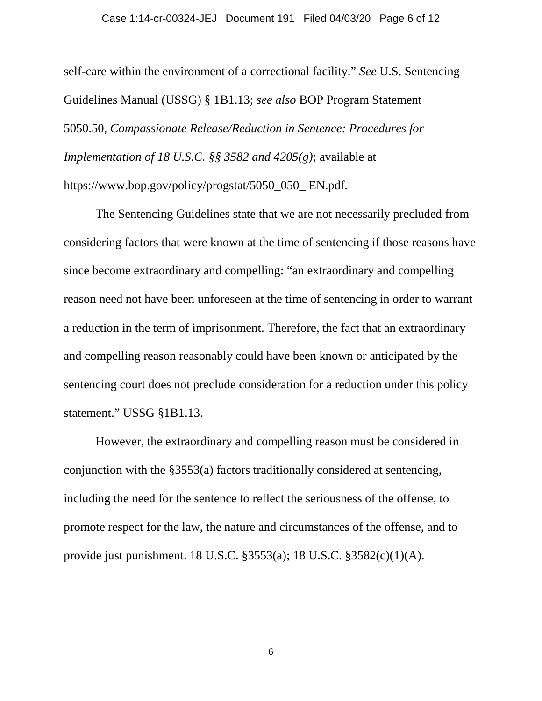#### Case 1:14-cr-00324-JEJ Document 191 Filed 04/03/20 Page 6 of 12

self-care within the environment of a correctional facility." *See* U.S. Sentencing Guidelines Manual (USSG) § 1B1.13; *see also* BOP Program Statement 5050.50, *Compassionate Release/Reduction in Sentence: Procedures for Implementation of 18 U.S.C. §§ 3582 and 4205(g)*; available at https://www.bop.gov/policy/progstat/5050\_050\_ EN.pdf.

The Sentencing Guidelines state that we are not necessarily precluded from considering factors that were known at the time of sentencing if those reasons have since become extraordinary and compelling: "an extraordinary and compelling reason need not have been unforeseen at the time of sentencing in order to warrant a reduction in the term of imprisonment. Therefore, the fact that an extraordinary and compelling reason reasonably could have been known or anticipated by the sentencing court does not preclude consideration for a reduction under this policy statement." USSG §1B1.13.

However, the extraordinary and compelling reason must be considered in conjunction with the §3553(a) factors traditionally considered at sentencing, including the need for the sentence to reflect the seriousness of the offense, to promote respect for the law, the nature and circumstances of the offense, and to provide just punishment. 18 U.S.C. §3553(a); 18 U.S.C. §3582(c)(1)(A).

6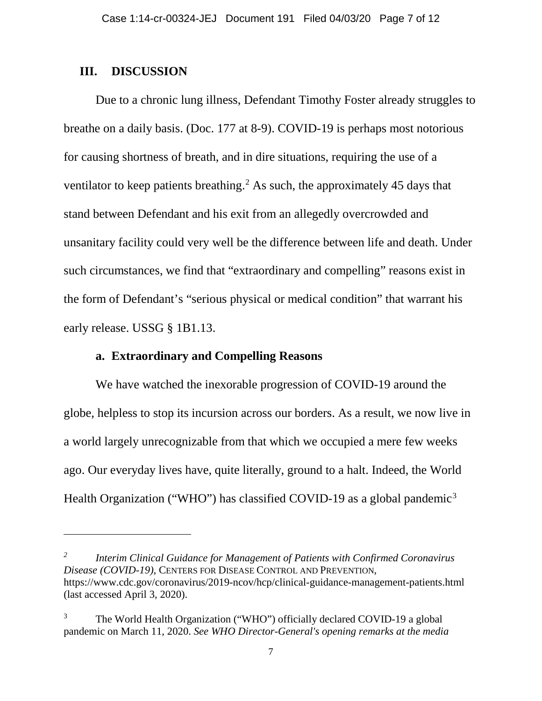### **III. DISCUSSION**

 $\overline{\phantom{a}}$ 

Due to a chronic lung illness, Defendant Timothy Foster already struggles to breathe on a daily basis. (Doc. 177 at 8-9). COVID-19 is perhaps most notorious for causing shortness of breath, and in dire situations, requiring the use of a ventilator to keep patients breathing.<sup>2</sup> As such, the approximately 45 days that stand between Defendant and his exit from an allegedly overcrowded and unsanitary facility could very well be the difference between life and death. Under such circumstances, we find that "extraordinary and compelling" reasons exist in the form of Defendant's "serious physical or medical condition" that warrant his early release. USSG § 1B1.13.

### **a. Extraordinary and Compelling Reasons**

We have watched the inexorable progression of COVID-19 around the globe, helpless to stop its incursion across our borders. As a result, we now live in a world largely unrecognizable from that which we occupied a mere few weeks ago. Our everyday lives have, quite literally, ground to a halt. Indeed, the World Health Organization ("WHO") has classified COVID-19 as a global pandemic<sup>[3](#page-6-1)</sup>

<span id="page-6-0"></span>*<sup>2</sup> Interim Clinical Guidance for Management of Patients with Confirmed Coronavirus Disease (COVID-19)*, CENTERS FOR DISEASE CONTROL AND PREVENTION, https://www.cdc.gov/coronavirus/2019-ncov/hcp/clinical-guidance-management-patients.html (last accessed April 3, 2020).

<span id="page-6-1"></span><sup>3</sup> The World Health Organization ("WHO") officially declared COVID-19 a global pandemic on March 11, 2020. *See WHO Director-General's opening remarks at the media*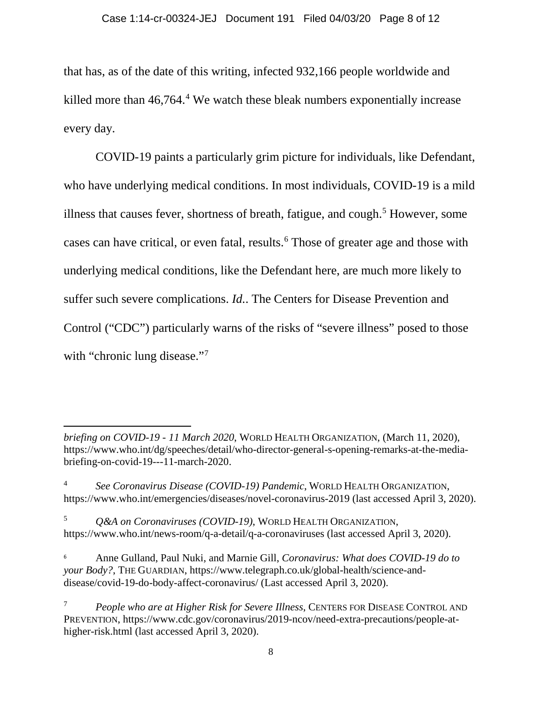that has, as of the date of this writing, infected 932,166 people worldwide and killed more than 46,764. [4](#page-7-0) We watch these bleak numbers exponentially increase every day.

COVID-19 paints a particularly grim picture for individuals, like Defendant, who have underlying medical conditions. In most individuals, COVID-19 is a mild illness that causes fever, shortness of breath, fatigue, and cough.<sup>[5](#page-7-1)</sup> However, some cases can have critical, or even fatal, results.[6](#page-7-2) Those of greater age and those with underlying medical conditions, like the Defendant here, are much more likely to suffer such severe complications. *Id.*. The Centers for Disease Prevention and Control ("CDC") particularly warns of the risks of "severe illness" posed to those with "chronic lung disease."<sup>[7](#page-7-3)</sup>

l *briefing on COVID-19 - 11 March 2020*, WORLD HEALTH ORGANIZATION, (March 11, 2020), https://www.who.int/dg/speeches/detail/who-director-general-s-opening-remarks-at-the-mediabriefing-on-covid-19---11-march-2020.

<span id="page-7-0"></span><sup>4</sup> *See Coronavirus Disease (COVID-19) Pandemic*, WORLD HEALTH ORGANIZATION, https://www.who.int/emergencies/diseases/novel-coronavirus-2019 (last accessed April 3, 2020).

<span id="page-7-1"></span><sup>5</sup> *Q&A on Coronaviruses (COVID-19)*, WORLD HEALTH ORGANIZATION, https://www.who.int/news-room/q-a-detail/q-a-coronaviruses (last accessed April 3, 2020).

<span id="page-7-2"></span><sup>6</sup> Anne Gulland, Paul Nuki, and Marnie Gill, *Coronavirus: What does COVID-19 do to your Body?*, THE GUARDIAN, https://www.telegraph.co.uk/global-health/science-anddisease/covid-19-do-body-affect-coronavirus/ (Last accessed April 3, 2020).

<span id="page-7-3"></span><sup>7</sup> *People who are at Higher Risk for Severe Illness*, CENTERS FOR DISEASE CONTROL AND PREVENTION, https://www.cdc.gov/coronavirus/2019-ncov/need-extra-precautions/people-athigher-risk.html (last accessed April 3, 2020).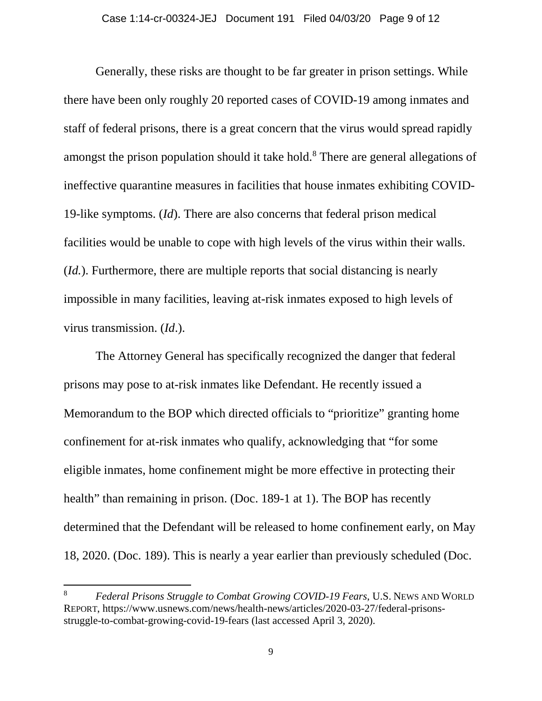Generally, these risks are thought to be far greater in prison settings. While there have been only roughly 20 reported cases of COVID-19 among inmates and staff of federal prisons, there is a great concern that the virus would spread rapidly amongst the prison population should it take hold.<sup>[8](#page-8-0)</sup> There are general allegations of ineffective quarantine measures in facilities that house inmates exhibiting COVID-19-like symptoms. (*Id*). There are also concerns that federal prison medical facilities would be unable to cope with high levels of the virus within their walls. (*Id.*). Furthermore, there are multiple reports that social distancing is nearly impossible in many facilities, leaving at-risk inmates exposed to high levels of virus transmission. (*Id*.).

The Attorney General has specifically recognized the danger that federal prisons may pose to at-risk inmates like Defendant. He recently issued a Memorandum to the BOP which directed officials to "prioritize" granting home confinement for at-risk inmates who qualify, acknowledging that "for some eligible inmates, home confinement might be more effective in protecting their health" than remaining in prison. (Doc. 189-1 at 1). The BOP has recently determined that the Defendant will be released to home confinement early, on May 18, 2020. (Doc. 189). This is nearly a year earlier than previously scheduled (Doc.

 $\overline{a}$ 

<span id="page-8-0"></span><sup>8</sup> *Federal Prisons Struggle to Combat Growing COVID-19 Fears*, U.S. NEWS AND WORLD REPORT, https://www.usnews.com/news/health-news/articles/2020-03-27/federal-prisonsstruggle-to-combat-growing-covid-19-fears (last accessed April 3, 2020).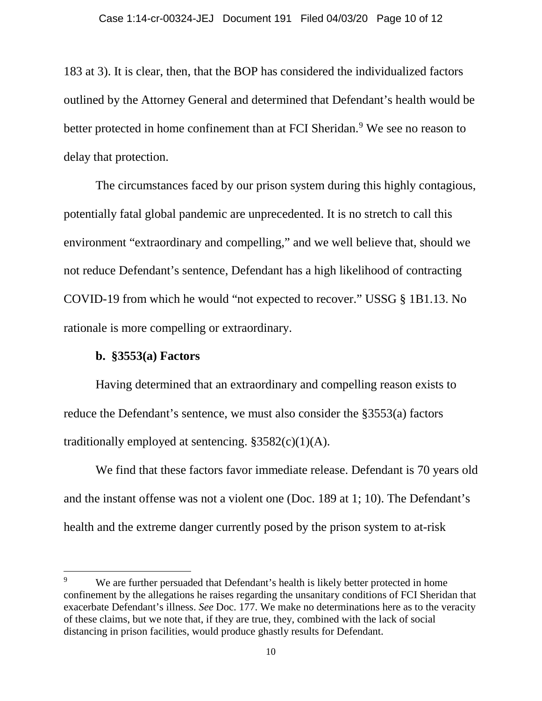183 at 3). It is clear, then, that the BOP has considered the individualized factors outlined by the Attorney General and determined that Defendant's health would be better protected in home confinement than at FCI Sheridan.<sup>[9](#page-9-0)</sup> We see no reason to delay that protection.

The circumstances faced by our prison system during this highly contagious, potentially fatal global pandemic are unprecedented. It is no stretch to call this environment "extraordinary and compelling," and we well believe that, should we not reduce Defendant's sentence, Defendant has a high likelihood of contracting COVID-19 from which he would "not expected to recover." USSG § 1B1.13. No rationale is more compelling or extraordinary.

## **b. §3553(a) Factors**

 $\overline{a}$ 

Having determined that an extraordinary and compelling reason exists to reduce the Defendant's sentence, we must also consider the §3553(a) factors traditionally employed at sentencing.  $§3582(c)(1)(A)$ .

We find that these factors favor immediate release. Defendant is 70 years old and the instant offense was not a violent one (Doc. 189 at 1; 10). The Defendant's health and the extreme danger currently posed by the prison system to at-risk

<span id="page-9-0"></span><sup>&</sup>lt;sup>9</sup> We are further persuaded that Defendant's health is likely better protected in home confinement by the allegations he raises regarding the unsanitary conditions of FCI Sheridan that exacerbate Defendant's illness. *See* Doc. 177. We make no determinations here as to the veracity of these claims, but we note that, if they are true, they, combined with the lack of social distancing in prison facilities, would produce ghastly results for Defendant.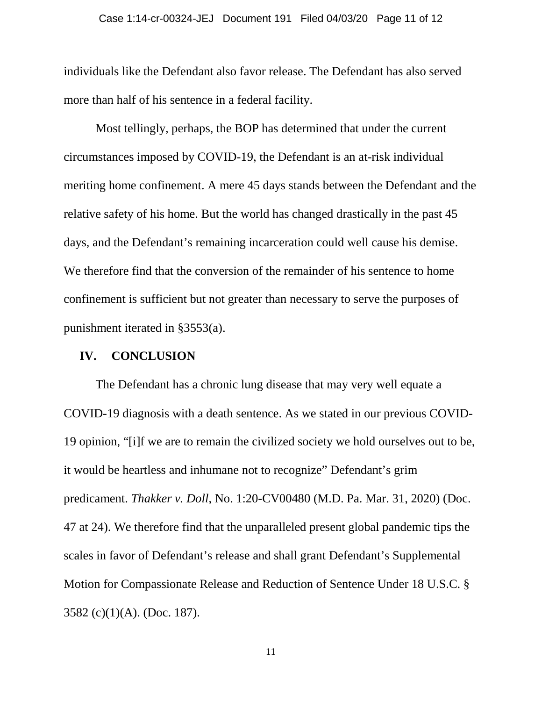individuals like the Defendant also favor release. The Defendant has also served more than half of his sentence in a federal facility.

Most tellingly, perhaps, the BOP has determined that under the current circumstances imposed by COVID-19, the Defendant is an at-risk individual meriting home confinement. A mere 45 days stands between the Defendant and the relative safety of his home. But the world has changed drastically in the past 45 days, and the Defendant's remaining incarceration could well cause his demise. We therefore find that the conversion of the remainder of his sentence to home confinement is sufficient but not greater than necessary to serve the purposes of punishment iterated in §3553(a).

#### **IV. CONCLUSION**

The Defendant has a chronic lung disease that may very well equate a COVID-19 diagnosis with a death sentence. As we stated in our previous COVID-19 opinion, "[i]f we are to remain the civilized society we hold ourselves out to be, it would be heartless and inhumane not to recognize" Defendant's grim predicament. *Thakker v. Doll*, No. 1:20-CV00480 (M.D. Pa. Mar. 31, 2020) (Doc. 47 at 24). We therefore find that the unparalleled present global pandemic tips the scales in favor of Defendant's release and shall grant Defendant's Supplemental Motion for Compassionate Release and Reduction of Sentence Under 18 U.S.C. § 3582 (c)(1)(A). (Doc. 187).